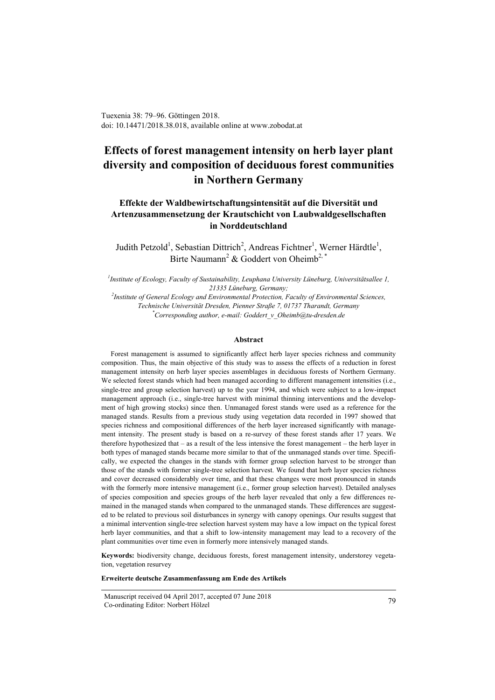Tuexenia 38: 79–96. Göttingen 2018. doi: 10.14471/2018.38.018, available online at www.zobodat.at

# **Effects of forest management intensity on herb layer plant diversity and composition of deciduous forest communities in Northern Germany**

# **Effekte der Waldbewirtschaftungsintensität auf die Diversität und Artenzusammensetzung der Krautschicht von Laubwaldgesellschaften in Norddeutschland**

Judith Petzold<sup>1</sup>, Sebastian Dittrich<sup>2</sup>, Andreas Fichtner<sup>1</sup>, Werner Härdtle<sup>1</sup>, Birte Naumann<sup>2</sup> & Goddert von Oheimb<sup>2,\*</sup>

*1 Institute of Ecology, Faculty of Sustainability, Leuphana University Lüneburg, Universitätsallee 1, 21335 Lüneburg, Germany; 2 Institute of General Ecology and Environmental Protection, Faculty of Environmental Sciences,*

*Technische Universität Dresden, Pienner Straße 7, 01737 Tharandt, Germany \* Corresponding author, e-mail: Goddert\_v\_Oheimb@tu-dresden.de*

#### **Abstract**

Forest management is assumed to significantly affect herb layer species richness and community composition. Thus, the main objective of this study was to assess the effects of a reduction in forest management intensity on herb layer species assemblages in deciduous forests of Northern Germany. We selected forest stands which had been managed according to different management intensities (i.e., single-tree and group selection harvest) up to the year 1994, and which were subject to a low-impact management approach (i.e., single-tree harvest with minimal thinning interventions and the development of high growing stocks) since then. Unmanaged forest stands were used as a reference for the managed stands. Results from a previous study using vegetation data recorded in 1997 showed that species richness and compositional differences of the herb layer increased significantly with management intensity. The present study is based on a re-survey of these forest stands after 17 years. We therefore hypothesized that – as a result of the less intensive the forest management – the herb layer in both types of managed stands became more similar to that of the unmanaged stands over time. Specifically, we expected the changes in the stands with former group selection harvest to be stronger than those of the stands with former single-tree selection harvest. We found that herb layer species richness and cover decreased considerably over time, and that these changes were most pronounced in stands with the formerly more intensive management (i.e., former group selection harvest). Detailed analyses of species composition and species groups of the herb layer revealed that only a few differences remained in the managed stands when compared to the unmanaged stands. These differences are suggested to be related to previous soil disturbances in synergy with canopy openings. Our results suggest that a minimal intervention single-tree selection harvest system may have a low impact on the typical forest herb layer communities, and that a shift to low-intensity management may lead to a recovery of the plant communities over time even in formerly more intensively managed stands.

**Keywords:** biodiversity change, deciduous forests, forest management intensity, understorey vegetation, vegetation resurvey

**Erweiterte deutsche Zusammenfassung am Ende des Artikels**

Manuscript received 04 April 2017, accepted 07 June 2018 Co-ordinating Editor: Norbert Hölzel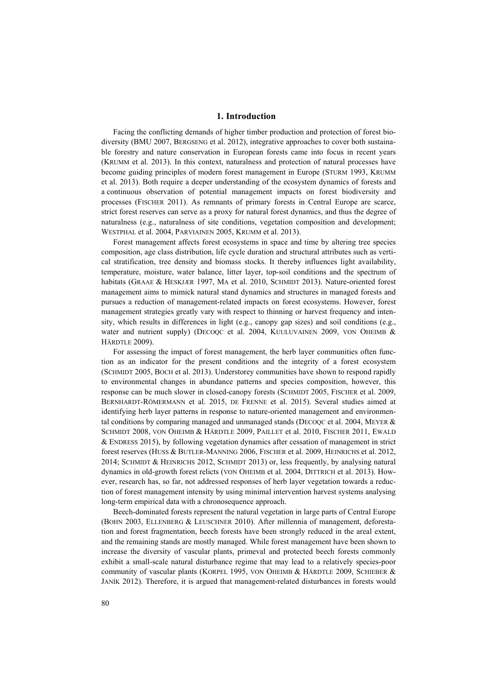#### **1. Introduction**

Facing the conflicting demands of higher timber production and protection of forest biodiversity (BMU 2007, BERGSENG et al. 2012), integrative approaches to cover both sustainable forestry and nature conservation in European forests came into focus in recent years (KRUMM et al. 2013). In this context, naturalness and protection of natural processes have become guiding principles of modern forest management in Europe (STURM 1993, KRUMM et al. 2013). Both require a deeper understanding of the ecosystem dynamics of forests and a continuous observation of potential management impacts on forest biodiversity and processes (FISCHER 2011). As remnants of primary forests in Central Europe are scarce, strict forest reserves can serve as a proxy for natural forest dynamics, and thus the degree of naturalness (e.g., naturalness of site conditions, vegetation composition and development; WESTPHAL et al. 2004, PARVIAINEN 2005, KRUMM et al. 2013).

Forest management affects forest ecosystems in space and time by altering tree species composition, age class distribution, life cycle duration and structural attributes such as vertical stratification, tree density and biomass stocks. It thereby influences light availability, temperature, moisture, water balance, litter layer, top-soil conditions and the spectrum of habitats (GRAAE & HESKJÆR 1997, MA et al. 2010, SCHMIDT 2013). Nature-oriented forest management aims to mimick natural stand dynamics and structures in managed forests and pursues a reduction of management-related impacts on forest ecosystems. However, forest management strategies greatly vary with respect to thinning or harvest frequency and intensity, which results in differences in light (e.g., canopy gap sizes) and soil conditions (e.g., water and nutrient supply) (DECOQC et al. 2004, KUULUVAINEN 2009, VON OHEIMB & HÄRDTLE 2009).

For assessing the impact of forest management, the herb layer communities often function as an indicator for the present conditions and the integrity of a forest ecosystem (SCHMIDT 2005, BOCH et al. 2013). Understorey communities have shown to respond rapidly to environmental changes in abundance patterns and species composition, however, this response can be much slower in closed-canopy forests (SCHMIDT 2005, FISCHER et al. 2009, BERNHARDT-RÖMERMANN et al. 2015, DE FRENNE et al. 2015). Several studies aimed at identifying herb layer patterns in response to nature-oriented management and environmental conditions by comparing managed and unmanaged stands (DECOQC et al. 2004, MEYER & SCHMIDT 2008, VON OHEIMB & HÄRDTLE 2009, PAILLET et al. 2010, FISCHER 2011, EWALD & ENDRESS 2015), by following vegetation dynamics after cessation of management in strict forest reserves (HUSS & BUTLER-MANNING 2006, FISCHER et al. 2009, HEINRICHS et al. 2012, 2014; SCHMIDT & HEINRICHS 2012, SCHMIDT 2013) or, less frequently, by analysing natural dynamics in old-growth forest relicts (VON OHEIMB et al. 2004, DITTRICH et al. 2013). However, research has, so far, not addressed responses of herb layer vegetation towards a reduction of forest management intensity by using minimal intervention harvest systems analysing long-term empirical data with a chronosequence approach.

Beech-dominated forests represent the natural vegetation in large parts of Central Europe (BOHN 2003, ELLENBERG & LEUSCHNER 2010). After millennia of management, deforestation and forest fragmentation, beech forests have been strongly reduced in the areal extent, and the remaining stands are mostly managed. While forest management have been shown to increase the diversity of vascular plants, primeval and protected beech forests commonly exhibit a small-scale natural disturbance regime that may lead to a relatively species-poor community of vascular plants (KORPEL 1995, VON OHEIMB & HÄRDTLE 2009, SCHIEBER & JANÍK 2012). Therefore, it is argued that management-related disturbances in forests would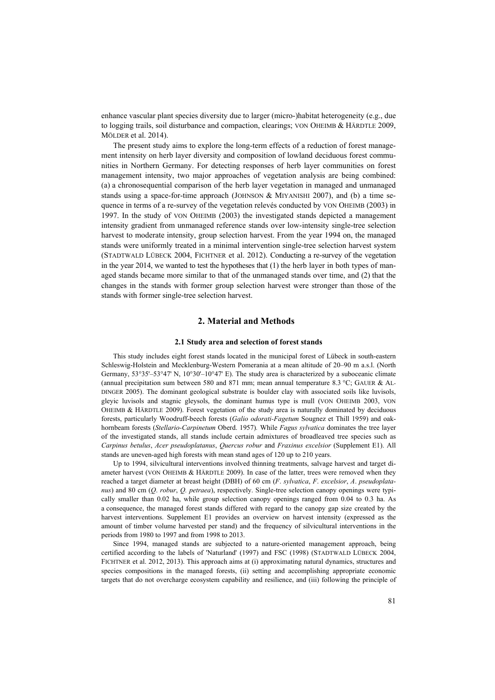enhance vascular plant species diversity due to larger (micro-)habitat heterogeneity (e.g., due to logging trails, soil disturbance and compaction, clearings; VON OHEIMB & HÄRDTLE 2009, MÖLDER et al. 2014).

The present study aims to explore the long-term effects of a reduction of forest management intensity on herb layer diversity and composition of lowland deciduous forest communities in Northern Germany. For detecting responses of herb layer communities on forest management intensity, two major approaches of vegetation analysis are being combined: (a) a chronosequential comparison of the herb layer vegetation in managed and unmanaged stands using a space-for-time approach (JOHNSON & MIYANISHI 2007), and (b) a time sequence in terms of a re-survey of the vegetation relevés conducted by VON OHEIMB (2003) in 1997. In the study of VON OHEIMB (2003) the investigated stands depicted a management intensity gradient from unmanaged reference stands over low-intensity single-tree selection harvest to moderate intensity, group selection harvest. From the year 1994 on, the managed stands were uniformly treated in a minimal intervention single-tree selection harvest system (STADTWALD LÜBECK 2004, FICHTNER et al. 2012). Conducting a re-survey of the vegetation in the year 2014, we wanted to test the hypotheses that (1) the herb layer in both types of managed stands became more similar to that of the unmanaged stands over time, and (2) that the changes in the stands with former group selection harvest were stronger than those of the stands with former single-tree selection harvest.

## **2. Material and Methods**

#### **2.1 Study area and selection of forest stands**

This study includes eight forest stands located in the municipal forest of Lübeck in south-eastern Schleswig-Holstein and Mecklenburg-Western Pomerania at a mean altitude of 20–90 m a.s.l. (North Germany, 53°35'–53°47' N, 10°30'–10°47' E). The study area is characterized by a suboceanic climate (annual precipitation sum between 580 and 871 mm; mean annual temperature 8.3 °C; GAUER & AL-DINGER 2005). The dominant geological substrate is boulder clay with associated soils like luvisols, gleyic luvisols and stagnic gleysols, the dominant humus type is mull (VON OHEIMB 2003, VON OHEIMB & HÄRDTLE 2009). Forest vegetation of the study area is naturally dominated by deciduous forests, particularly Woodruff-beech forests (*Galio odorati-Fagetum* Sougnez et Thill 1959) and oakhornbeam forests (*Stellario-Carpinetum* Oberd. 1957)*.* While *Fagus sylvatica* dominates the tree layer of the investigated stands, all stands include certain admixtures of broadleaved tree species such as *Carpinus betulus*, *Acer pseudoplatanus*, *Quercus robur* and *Fraxinus excelsior* (Supplement E1). All stands are uneven-aged high forests with mean stand ages of 120 up to 210 years.

Up to 1994, silvicultural interventions involved thinning treatments, salvage harvest and target diameter harvest (VON OHEIMB & HÄRDTLE 2009). In case of the latter, trees were removed when they reached a target diameter at breast height (DBH) of 60 cm (*F*. *sylvatica*, *F*. *excelsior*, *A*. *pseudoplatanus*) and 80 cm (*Q*. *robur*, *Q. petraea*), respectively. Single-tree selection canopy openings were typically smaller than 0.02 ha, while group selection canopy openings ranged from 0.04 to 0.3 ha. As a consequence, the managed forest stands differed with regard to the canopy gap size created by the harvest interventions. Supplement E1 provides an overview on harvest intensity (expressed as the amount of timber volume harvested per stand) and the frequency of silvicultural interventions in the periods from 1980 to 1997 and from 1998 to 2013.

Since 1994, managed stands are subjected to a nature-oriented management approach, being certified according to the labels of 'Naturland' (1997) and FSC (1998) (STADTWALD LÜBECK 2004, FICHTNER et al. 2012, 2013). This approach aims at (i) approximating natural dynamics, structures and species compositions in the managed forests, (ii) setting and accomplishing appropriate economic targets that do not overcharge ecosystem capability and resilience, and (iii) following the principle of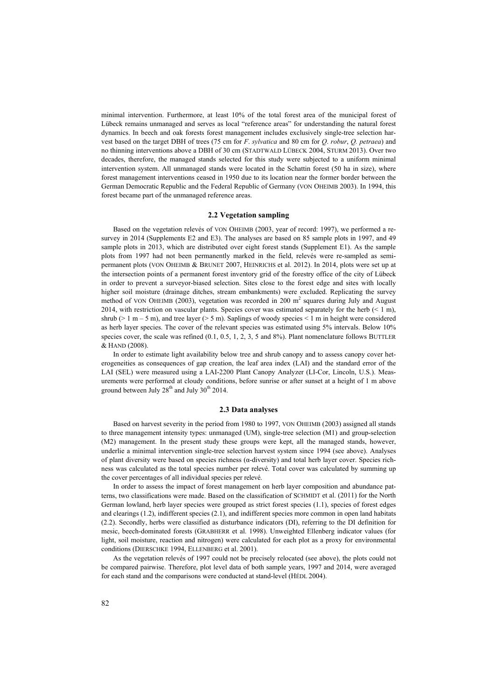minimal intervention. Furthermore, at least 10% of the total forest area of the municipal forest of Lübeck remains unmanaged and serves as local "reference areas" for understanding the natural forest dynamics. In beech and oak forests forest management includes exclusively single-tree selection harvest based on the target DBH of trees (75 cm for *F*. *sylvatica* and 80 cm for *Q*. *robur*, *Q. petraea*) and no thinning interventions above a DBH of 30 cm (STADTWALD LÜBECK 2004, STURM 2013). Over two decades, therefore, the managed stands selected for this study were subjected to a uniform minimal intervention system. All unmanaged stands were located in the Schattin forest (50 ha in size), where forest management interventions ceased in 1950 due to its location near the former border between the German Democratic Republic and the Federal Republic of Germany (VON OHEIMB 2003). In 1994, this forest became part of the unmanaged reference areas.

# **2.2 Vegetation sampling**

Based on the vegetation relevés of VON OHEIMB (2003, year of record: 1997), we performed a resurvey in 2014 (Supplements E2 and E3). The analyses are based on 85 sample plots in 1997, and 49 sample plots in 2013, which are distributed over eight forest stands (Supplement E1). As the sample plots from 1997 had not been permanently marked in the field, relevés were re-sampled as semipermanent plots (VON OHEIMB & BRUNET 2007, HEINRICHS et al. 2012). In 2014, plots were set up at the intersection points of a permanent forest inventory grid of the forestry office of the city of Lübeck in order to prevent a surveyor-biased selection. Sites close to the forest edge and sites with locally higher soil moisture (drainage ditches, stream embankments) were excluded. Replicating the survey method of VON OHEIMB (2003), vegetation was recorded in  $200 \text{ m}^2$  squares during July and August 2014, with restriction on vascular plants. Species cover was estimated separately for the herb  $($   $\leq$  1 m), shrub ( $> 1$  m – 5 m), and tree layer ( $> 5$  m). Saplings of woody species  $< 1$  m in height were considered as herb layer species. The cover of the relevant species was estimated using 5% intervals. Below 10% species cover, the scale was refined (0.1, 0.5, 1, 2, 3, 5 and 8%). Plant nomenclature follows BUTTLER & HAND (2008).

In order to estimate light availability below tree and shrub canopy and to assess canopy cover heterogeneities as consequences of gap creation, the leaf area index (LAI) and the standard error of the LAI (SEL) were measured using a LAI-2200 Plant Canopy Analyzer (LI-Cor, Lincoln, U.S.). Measurements were performed at cloudy conditions, before sunrise or after sunset at a height of 1 m above ground between July  $28<sup>th</sup>$  and July  $30<sup>th</sup>$  2014.

#### **2.3 Data analyses**

Based on harvest severity in the period from 1980 to 1997, VON OHEIMB (2003) assigned all stands to three management intensity types: unmanaged (UM), single-tree selection (M1) and group-selection (M2) management. In the present study these groups were kept, all the managed stands, however, underlie a minimal intervention single-tree selection harvest system since 1994 (see above). Analyses of plant diversity were based on species richness (α-diversity) and total herb layer cover. Species richness was calculated as the total species number per relevé. Total cover was calculated by summing up the cover percentages of all individual species per relevé.

In order to assess the impact of forest management on herb layer composition and abundance patterns, two classifications were made. Based on the classification of SCHMIDT et al. (2011) for the North German lowland, herb layer species were grouped as strict forest species (1.1), species of forest edges and clearings (1.2), indifferent species (2.1), and indifferent species more common in open land habitats (2.2). Secondly, herbs were classified as disturbance indicators (DI), referring to the DI definition for mesic, beech-dominated forests (GRABHERR et al. 1998). Unweighted Ellenberg indicator values (for light, soil moisture, reaction and nitrogen) were calculated for each plot as a proxy for environmental conditions (DIERSCHKE 1994, ELLENBERG et al. 2001).

As the vegetation relevés of 1997 could not be precisely relocated (see above), the plots could not be compared pairwise. Therefore, plot level data of both sample years, 1997 and 2014, were averaged for each stand and the comparisons were conducted at stand-level (HÉDL 2004).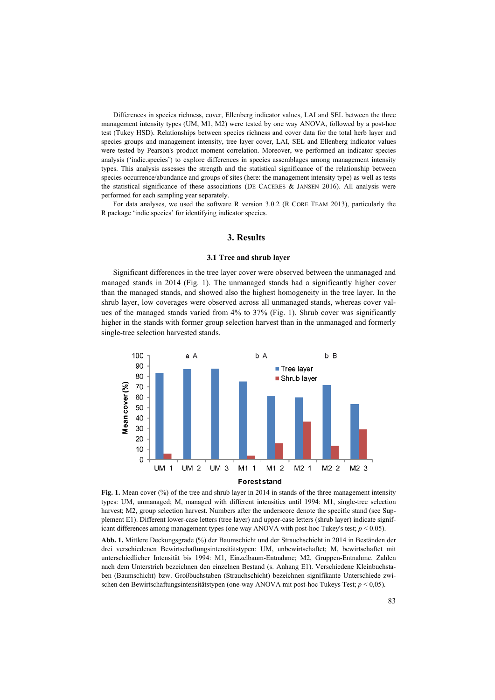Differences in species richness, cover, Ellenberg indicator values, LAI and SEL between the three management intensity types (UM, M1, M2) were tested by one way ANOVA, followed by a post-hoc test (Tukey HSD). Relationships between species richness and cover data for the total herb layer and species groups and management intensity, tree layer cover, LAI, SEL and Ellenberg indicator values were tested by Pearson's product moment correlation. Moreover, we performed an indicator species analysis ('indic.species') to explore differences in species assemblages among management intensity types. This analysis assesses the strength and the statistical significance of the relationship between species occurrence/abundance and groups of sites (here: the management intensity type) as well as tests the statistical significance of these associations (DE CACERES & JANSEN 2016). All analysis were performed for each sampling year separately.

For data analyses, we used the software R version 3.0.2 (R CORE TEAM 2013), particularly the R package 'indic.species' for identifying indicator species.

#### **3. Results**

#### **3.1 Tree and shrub layer**

Significant differences in the tree layer cover were observed between the unmanaged and managed stands in 2014 (Fig. 1). The unmanaged stands had a significantly higher cover than the managed stands, and showed also the highest homogeneity in the tree layer. In the shrub layer, low coverages were observed across all unmanaged stands, whereas cover values of the managed stands varied from 4% to 37% (Fig. 1). Shrub cover was significantly higher in the stands with former group selection harvest than in the unmanaged and formerly single-tree selection harvested stands.



**Fig. 1.** Mean cover (%) of the tree and shrub layer in 2014 in stands of the three management intensity types: UM, unmanaged; M, managed with different intensities until 1994: M1, single-tree selection harvest; M2, group selection harvest. Numbers after the underscore denote the specific stand (see Supplement E1). Different lower-case letters (tree layer) and upper-case letters (shrub layer) indicate significant differences among management types (one way ANOVA with post-hoc Tukey's test;  $p < 0.05$ ).

**Abb. 1.** Mittlere Deckungsgrade (%) der Baumschicht und der Strauchschicht in 2014 in Beständen der drei verschiedenen Bewirtschaftungsintensitätstypen: UM, unbewirtschaftet; M, bewirtschaftet mit unterschiedlicher Intensität bis 1994: M1, Einzelbaum-Entnahme; M2, Gruppen-Entnahme. Zahlen nach dem Unterstrich bezeichnen den einzelnen Bestand (s. Anhang E1). Verschiedene Kleinbuchstaben (Baumschicht) bzw. Großbuchstaben (Strauchschicht) bezeichnen signifikante Unterschiede zwischen den Bewirtschaftungsintensitätstypen (one-way ANOVA mit post-hoc Tukeys Test; *p* < 0,05).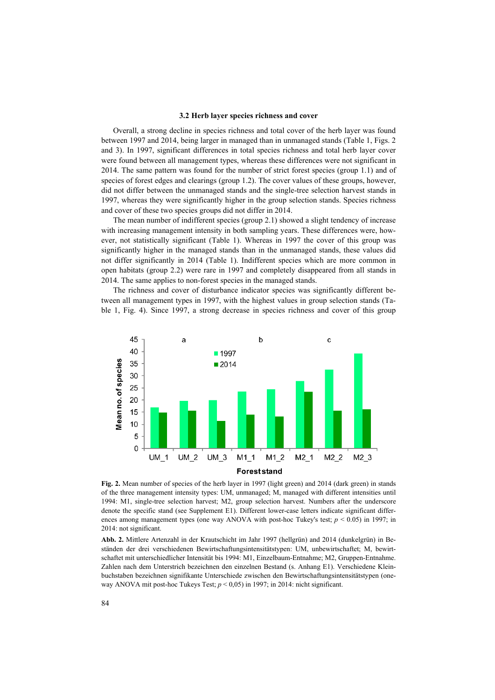#### **3.2 Herb layer species richness and cover**

Overall, a strong decline in species richness and total cover of the herb layer was found between 1997 and 2014, being larger in managed than in unmanaged stands (Table 1, Figs. 2 and 3). In 1997, significant differences in total species richness and total herb layer cover were found between all management types, whereas these differences were not significant in 2014. The same pattern was found for the number of strict forest species (group 1.1) and of species of forest edges and clearings (group 1.2). The cover values of these groups, however, did not differ between the unmanaged stands and the single-tree selection harvest stands in 1997, whereas they were significantly higher in the group selection stands. Species richness and cover of these two species groups did not differ in 2014.

The mean number of indifferent species (group 2.1) showed a slight tendency of increase with increasing management intensity in both sampling years. These differences were, however, not statistically significant (Table 1). Whereas in 1997 the cover of this group was significantly higher in the managed stands than in the unmanaged stands, these values did not differ significantly in 2014 (Table 1). Indifferent species which are more common in open habitats (group 2.2) were rare in 1997 and completely disappeared from all stands in 2014. The same applies to non-forest species in the managed stands.

The richness and cover of disturbance indicator species was significantly different between all management types in 1997, with the highest values in group selection stands (Table 1, Fig. 4). Since 1997, a strong decrease in species richness and cover of this group



**Fig. 2.** Mean number of species of the herb layer in 1997 (light green) and 2014 (dark green) in stands of the three management intensity types: UM, unmanaged; M, managed with different intensities until 1994: M1, single-tree selection harvest; M2, group selection harvest. Numbers after the underscore denote the specific stand (see Supplement E1). Different lower-case letters indicate significant differences among management types (one way ANOVA with post-hoc Tukey's test;  $p < 0.05$ ) in 1997; in 2014: not significant.

**Abb. 2.** Mittlere Artenzahl in der Krautschicht im Jahr 1997 (hellgrün) and 2014 (dunkelgrün) in Beständen der drei verschiedenen Bewirtschaftungsintensitätstypen: UM, unbewirtschaftet; M, bewirtschaftet mit unterschiedlicher Intensität bis 1994: M1, Einzelbaum-Entnahme; M2, Gruppen-Entnahme. Zahlen nach dem Unterstrich bezeichnen den einzelnen Bestand (s. Anhang E1). Verschiedene Kleinbuchstaben bezeichnen signifikante Unterschiede zwischen den Bewirtschaftungsintensitätstypen (oneway ANOVA mit post-hoc Tukeys Test; *p* < 0,05) in 1997; in 2014: nicht significant.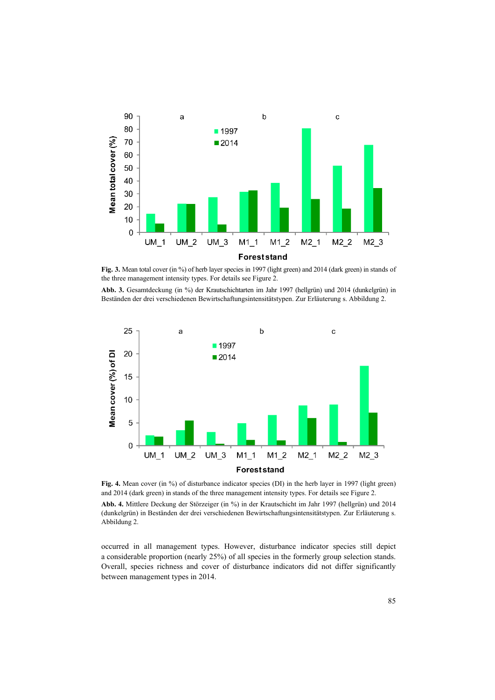

Fig. 3. Mean total cover (in %) of herb layer species in 1997 (light green) and 2014 (dark green) in stands of the three management intensity types. For details see Figure 2.

**Abb. 3.** Gesamtdeckung (in %) der Krautschichtarten im Jahr 1997 (hellgrün) und 2014 (dunkelgrün) in Beständen der drei verschiedenen Bewirtschaftungsintensitätstypen. Zur Erläuterung s. Abbildung 2.



**Fig. 4.** Mean cover (in %) of disturbance indicator species (DI) in the herb layer in 1997 (light green) and 2014 (dark green) in stands of the three management intensity types. For details see Figure 2.

**Abb. 4.** Mittlere Deckung der Störzeiger (in %) in der Krautschicht im Jahr 1997 (hellgrün) und 2014 (dunkelgrün) in Beständen der drei verschiedenen Bewirtschaftungsintensitätstypen. Zur Erläuterung s. Abbildung 2.

occurred in all management types. However, disturbance indicator species still depict a considerable proportion (nearly 25%) of all species in the formerly group selection stands. Overall, species richness and cover of disturbance indicators did not differ significantly between management types in 2014.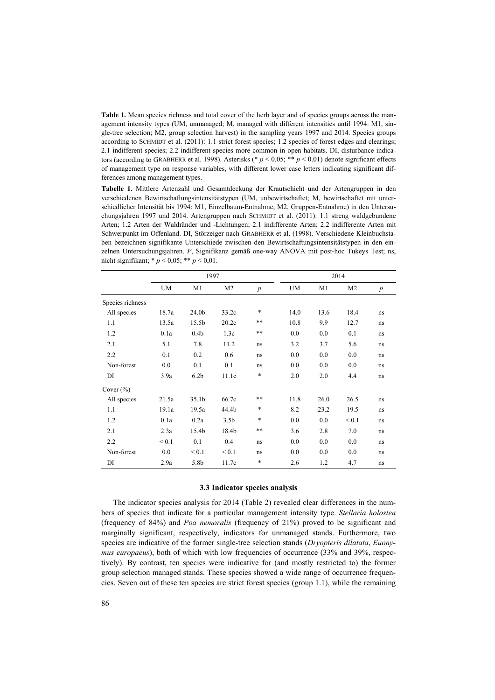**Table 1.** Mean species richness and total cover of the herb layer and of species groups across the management intensity types (UM, unmanaged; M, managed with different intensities until 1994: M1, single-tree selection; M2, group selection harvest) in the sampling years 1997 and 2014. Species groups according to SCHMIDT et al. (2011): 1.1 strict forest species; 1.2 species of forest edges and clearings; 2.1 indifferent species; 2.2 indifferent species more common in open habitats. DI, disturbance indicators (according to GRABHERR et al. 1998). Asterisks (\* *p* < 0.05; \*\* *p* < 0.01) denote significant effects of management type on response variables, with different lower case letters indicating significant differences among management types.

**Tabelle 1.** Mittlere Artenzahl und Gesamtdeckung der Krautschicht und der Artengruppen in den verschiedenen Bewirtschaftungsintensitätstypen (UM, unbewirtschaftet; M, bewirtschaftet mit unterschiedlicher Intensität bis 1994: M1, Einzelbaum-Entnahme; M2, Gruppen-Entnahme) in den Untersuchungsjahren 1997 und 2014. Artengruppen nach SCHMIDT et al. (2011): 1.1 streng waldgebundene Arten; 1.2 Arten der Waldränder und -Lichtungen; 2.1 indifferente Arten; 2.2 indifferente Arten mit Schwerpunkt im Offenland. DI, Störzeiger nach GRABHERR et al. (1998). Verschiedene Kleinbuchstaben bezeichnen signifikante Unterschiede zwischen den Bewirtschaftungsintensitätstypen in den einzelnen Untersuchungsjahren. *P*, Signifikanz gemäß one-way ANOVA mit post-hoc Tukeys Test; ns, nicht signifikant; \* *p* < 0,05; \*\* *p* < 0,01.

|                  | 1997       |                   |                  | 2014             |           |      |                |                  |
|------------------|------------|-------------------|------------------|------------------|-----------|------|----------------|------------------|
|                  | UM         | M1                | M <sub>2</sub>   | $\boldsymbol{p}$ | <b>UM</b> | M1   | M <sub>2</sub> | $\boldsymbol{p}$ |
| Species richness |            |                   |                  |                  |           |      |                |                  |
| All species      | 18.7a      | 24.0 <sub>b</sub> | 33.2c            | $\ast$           | 14.0      | 13.6 | 18.4           | ns               |
| 1.1              | 13.5a      | 15.5b             | 20.2c            | $***$            | 10.8      | 9.9  | 12.7           | ns               |
| 1.2              | 0.1a       | 0.4 <sub>b</sub>  | 1.3c             | $***$            | 0.0       | 0.0  | 0.1            | ns               |
| 2.1              | 5.1        | 7.8               | 11.2             | ns               | 3.2       | 3.7  | 5.6            | ns               |
| 2.2              | 0.1        | 0.2               | 0.6              | ns               | 0.0       | 0.0  | 0.0            | ns               |
| Non-forest       | 0.0        | 0.1               | 0.1              | ns               | 0.0       | 0.0  | 0.0            | ns               |
| DI               | 3.9a       | 6.2 <sub>b</sub>  | 11.1c            | *                | 2.0       | 2.0  | 4.4            | ns               |
| Cover $(\% )$    |            |                   |                  |                  |           |      |                |                  |
| All species      | 21.5a      | 35.1 <sub>b</sub> | 66.7c            | $***$            | 11.8      | 26.0 | 26.5           | ns               |
| 1.1              | 19.1a      | 19.5a             | 44.4b            | *                | 8.2       | 23.2 | 19.5           | ns               |
| 1.2              | 0.1a       | 0.2a              | 3.5 <sub>b</sub> | *                | 0.0       | 0.0  | ${}_{0.1}$     | ns               |
| 2.1              | 2.3a       | 15.4b             | 18.4b            | $***$            | 3.6       | 2.8  | 7.0            | ns               |
| 2.2              | ${}_{0.1}$ | 0.1               | 0.4              | ns               | 0.0       | 0.0  | 0.0            | ns               |
| Non-forest       | 0.0        | ${}_{0.1}$        | ${}_{0.1}$       | ns               | 0.0       | 0.0  | 0.0            | ns               |
| DI               | 2.9a       | 5.8b              | 11.7c            | *                | 2.6       | 1.2  | 4.7            | ns               |

#### **3.3 Indicator species analysis**

The indicator species analysis for 2014 (Table 2) revealed clear differences in the numbers of species that indicate for a particular management intensity type. *Stellaria holostea*  (frequency of 84%) and *Poa nemoralis* (frequency of 21%) proved to be significant and marginally significant, respectively, indicators for unmanaged stands. Furthermore, two species are indicative of the former single-tree selection stands (*Dryopteris dilatata*, *Euonymus europaeus*), both of which with low frequencies of occurrence (33% and 39%, respectively). By contrast, ten species were indicative for (and mostly restricted to) the former group selection managed stands. These species showed a wide range of occurrence frequencies. Seven out of these ten species are strict forest species (group 1.1), while the remaining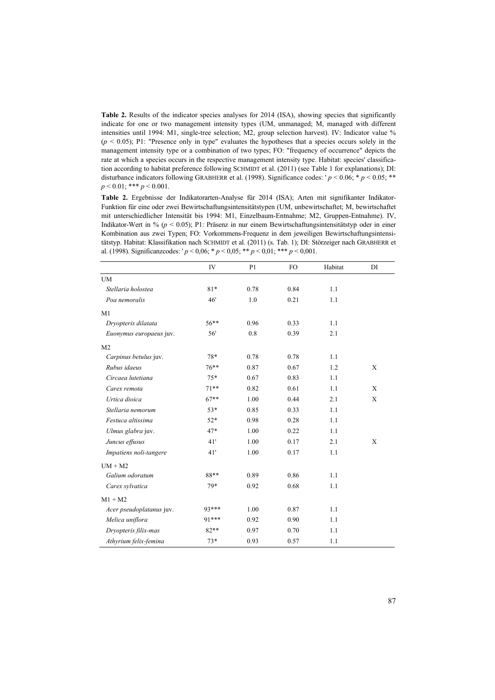**Table 2.** Results of the indicator species analyses for 2014 (ISA), showing species that significantly indicate for one or two management intensity types (UM, unmanaged; M, managed with different intensities until 1994: M1, single-tree selection; M2, group selection harvest). IV: Indicator value %  $(p < 0.05)$ ; P1: "Presence only in type" evaluates the hypotheses that a species occurs solely in the management intensity type or a combination of two types; FO: "frequency of occurrence" depicts the rate at which a species occurs in the respective management intensity type. Habitat: species' classification according to habitat preference following SCHMIDT et al. (2011) (see Table 1 for explanations); DI: disturbance indicators following GRABHERR et al. (1998). Significance codes: '  $p < 0.06$ ; \*  $p < 0.05$ ; \*\* *p* < 0.01; \*\*\* *p* < 0.001.

**Table 2.** Ergebnisse der Indikatorarten-Analyse für 2014 (ISA); Arten mit signifikanter Indikator-Funktion für eine oder zwei Bewirtschaftungsintensitätstypen (UM, unbewirtschaftet; M, bewirtschaftet mit unterschiedlicher Intensität bis 1994: M1, Einzelbaum-Entnahme; M2, Gruppen-Entnahme). IV, Indikator-Wert in % (*p* < 0.05); P1: Präsenz in nur einem Bewirtschaftungsintensitätstyp oder in einer Kombination aus zwei Typen; FO: Vorkommens-Frequenz in dem jeweiligen Bewirtschaftungsintensitätstyp. Habitat: Klassifikation nach SCHMIDT et al. (2011) (s. Tab. 1); DI: Störzeiger nach GRABHERR et al. (1998). Significanzcodes: ' *p* < 0,06; \* *p* < 0,05; \*\* *p* < 0,01; \*\*\* *p* < 0,001.

|                          | IV      | P <sub>1</sub> | FO.  | Habitat | DI |
|--------------------------|---------|----------------|------|---------|----|
| <b>UM</b>                |         |                |      |         |    |
| Stellaria holostea       | $81*$   | 0.78           | 0.84 | 1.1     |    |
| Poa nemoralis            | 46'     | 1.0            | 0.21 | 1.1     |    |
| M1                       |         |                |      |         |    |
| Dryopteris dilatata      | $56***$ | 0.96           | 0.33 | 1.1     |    |
| Euonymus europaeus juv.  | 56'     | 0.8            | 0.39 | 2.1     |    |
| M <sub>2</sub>           |         |                |      |         |    |
| Carpinus betulus juv.    | 78*     | 0.78           | 0.78 | 1.1     |    |
| Rubus idaeus             | $76***$ | 0.87           | 0.67 | 1.2     | X  |
| Circaea lutetiana        | $75*$   | 0.67           | 0.83 | 1.1     |    |
| Carex remota             | $71***$ | 0.82           | 0.61 | 1.1     | X  |
| Urtica dioica            | $67**$  | 1.00           | 0.44 | 2.1     | X  |
| Stellaria nemorum        | $53*$   | 0.85           | 0.33 | 1.1     |    |
| Festuca altissima        | $52*$   | 0.98           | 0.28 | 1.1     |    |
| Ulmus glabra juv.        | $47*$   | 1.00           | 0.22 | 1.1     |    |
| Juncus effusus           | 41'     | 1.00           | 0.17 | 2.1     | X  |
| Impatiens noli-tangere   | 41'     | 1.00           | 0.17 | 1.1     |    |
| $UM + M2$                |         |                |      |         |    |
| Galium odoratum          | 88**    | 0.89           | 0.86 | 1.1     |    |
| Carex sylvatica          | 79*     | 0.92           | 0.68 | 1.1     |    |
| $M1 + M2$                |         |                |      |         |    |
| Acer pseudoplatanus juv. | 93***   | 1.00           | 0.87 | 1.1     |    |
| Melica uniflora          | 91***   | 0.92           | 0.90 | 1.1     |    |
| Dryopteris filix-mas     | 82**    | 0.97           | 0.70 | 1.1     |    |
| Athyrium felix-femina    | $73*$   | 0.93           | 0.57 | 1.1     |    |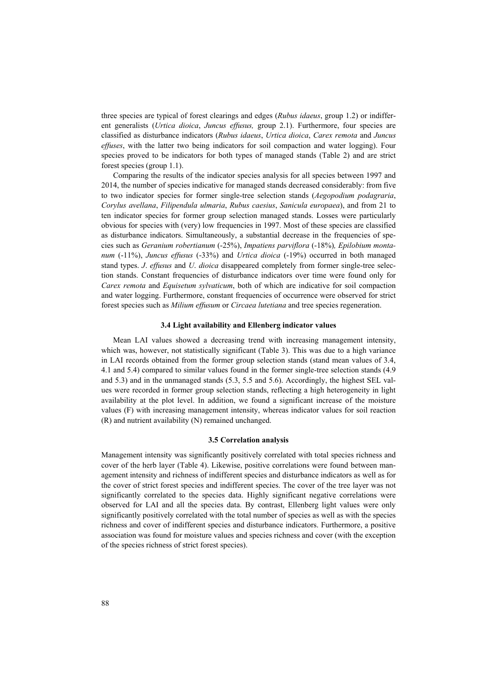three species are typical of forest clearings and edges (*Rubus idaeus*, group 1.2) or indifferent generalists (*Urtica dioica*, *Juncus effusus,* group 2.1). Furthermore, four species are classified as disturbance indicators (*Rubus idaeus*, *Urtica dioica*, *Carex remota* and *Juncus effuses*, with the latter two being indicators for soil compaction and water logging). Four species proved to be indicators for both types of managed stands (Table 2) and are strict forest species (group 1.1).

Comparing the results of the indicator species analysis for all species between 1997 and 2014, the number of species indicative for managed stands decreased considerably: from five to two indicator species for former single-tree selection stands (*Aegopodium podagraria*, *Corylus avellana*, *Filipendula ulmaria*, *Rubus caesius*, *Sanicula europaea*), and from 21 to ten indicator species for former group selection managed stands. Losses were particularly obvious for species with (very) low frequencies in 1997. Most of these species are classified as disturbance indicators. Simultaneously, a substantial decrease in the frequencies of species such as *Geranium robertianum* (-25%), *Impatiens parviflora* (-18%)*, Epilobium montanum* (-11%), *Juncus effusus* (-33%) and *Urtica dioica* (-19%) occurred in both managed stand types. *J*. *effusus* and *U*. *dioica* disappeared completely from former single-tree selection stands. Constant frequencies of disturbance indicators over time were found only for *Carex remota* and *Equisetum sylvaticum*, both of which are indicative for soil compaction and water logging. Furthermore, constant frequencies of occurrence were observed for strict forest species such as *Milium effusum* or *Circaea lutetiana* and tree species regeneration.

#### **3.4 Light availability and Ellenberg indicator values**

Mean LAI values showed a decreasing trend with increasing management intensity, which was, however, not statistically significant (Table 3). This was due to a high variance in LAI records obtained from the former group selection stands (stand mean values of 3.4, 4.1 and 5.4) compared to similar values found in the former single-tree selection stands (4.9 and 5.3) and in the unmanaged stands (5.3, 5.5 and 5.6). Accordingly, the highest SEL values were recorded in former group selection stands, reflecting a high heterogeneity in light availability at the plot level. In addition, we found a significant increase of the moisture values (F) with increasing management intensity, whereas indicator values for soil reaction (R) and nutrient availability (N) remained unchanged.

#### **3.5 Correlation analysis**

Management intensity was significantly positively correlated with total species richness and cover of the herb layer (Table 4). Likewise, positive correlations were found between management intensity and richness of indifferent species and disturbance indicators as well as for the cover of strict forest species and indifferent species. The cover of the tree layer was not significantly correlated to the species data. Highly significant negative correlations were observed for LAI and all the species data. By contrast, Ellenberg light values were only significantly positively correlated with the total number of species as well as with the species richness and cover of indifferent species and disturbance indicators. Furthermore, a positive association was found for moisture values and species richness and cover (with the exception of the species richness of strict forest species).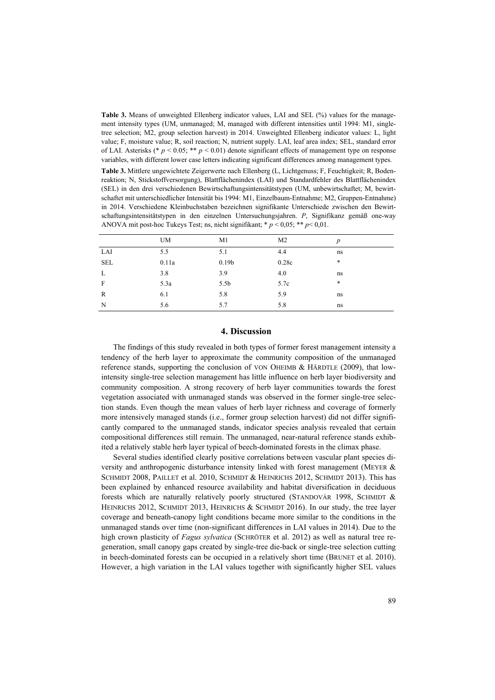**Table 3.** Means of unweighted Ellenberg indicator values, LAI and SEL (%) values for the management intensity types (UM, unmanaged; M, managed with different intensities until 1994: M1, singletree selection; M2, group selection harvest) in 2014. Unweighted Ellenberg indicator values: L, light value; F, moisture value; R, soil reaction; N, nutrient supply. LAI, leaf area index; SEL, standard error of LAI. Asterisks (\*  $p < 0.05$ ; \*\*  $p < 0.01$ ) denote significant effects of management type on response variables, with different lower case letters indicating significant differences among management types.

**Table 3.** Mittlere ungewichtete Zeigerwerte nach Ellenberg (L, Lichtgenuss; F, Feuchtigkeit; R, Bodenreaktion; N, Stickstoffversorgung), Blattflächenindex (LAI) und Standardfehler des Blattflächenindex (SEL) in den drei verschiedenen Bewirtschaftungsintensitätstypen (UM, unbewirtschaftet; M, bewirtschaftet mit unterschiedlicher Intensität bis 1994: M1, Einzelbaum-Entnahme; M2, Gruppen-Entnahme) in 2014. Verschiedene Kleinbuchstaben bezeichnen signifikante Unterschiede zwischen den Bewirtschaftungsintensitätstypen in den einzelnen Untersuchungsjahren. *P*, Signifikanz gemäß one-way ANOVA mit post-hoc Tukeys Test; ns, nicht signifikant; \* *p* < 0,05; \*\* *p*< 0,01.

|            | <b>UM</b> | M1                | M <sub>2</sub> | $\boldsymbol{p}$ |
|------------|-----------|-------------------|----------------|------------------|
| LAI        | 5.5       | 5.1               | 4.4            | ns               |
| <b>SEL</b> | 0.11a     | 0.19 <sub>b</sub> | 0.28c          | $\ast$           |
| L          | 3.8       | 3.9               | 4.0            | ns               |
| F          | 5.3a      | 5.5 <sub>b</sub>  | 5.7c           | $\ast$           |
| R          | 6.1       | 5.8               | 5.9            | ns               |
| N          | 5.6       | 5.7               | 5.8            | ns               |

# **4. Discussion**

The findings of this study revealed in both types of former forest management intensity a tendency of the herb layer to approximate the community composition of the unmanaged reference stands, supporting the conclusion of VON OHEIMB & HÄRDTLE (2009), that lowintensity single-tree selection management has little influence on herb layer biodiversity and community composition. A strong recovery of herb layer communities towards the forest vegetation associated with unmanaged stands was observed in the former single-tree selection stands. Even though the mean values of herb layer richness and coverage of formerly more intensively managed stands (i.e., former group selection harvest) did not differ significantly compared to the unmanaged stands, indicator species analysis revealed that certain compositional differences still remain. The unmanaged, near-natural reference stands exhibited a relatively stable herb layer typical of beech-dominated forests in the climax phase.

Several studies identified clearly positive correlations between vascular plant species diversity and anthropogenic disturbance intensity linked with forest management (MEYER & SCHMIDT 2008, PAILLET et al. 2010, SCHMIDT & HEINRICHS 2012, SCHMIDT 2013). This has been explained by enhanced resource availability and habitat diversification in deciduous forests which are naturally relatively poorly structured (STANDOVÁR 1998, SCHMIDT & HEINRICHS 2012, SCHMIDT 2013, HEINRICHS & SCHMIDT 2016). In our study, the tree layer coverage and beneath-canopy light conditions became more similar to the conditions in the unmanaged stands over time (non-significant differences in LAI values in 2014). Due to the high crown plasticity of *Fagus sylvatica* (SCHRÖTER et al. 2012) as well as natural tree regeneration, small canopy gaps created by single-tree die-back or single-tree selection cutting in beech-dominated forests can be occupied in a relatively short time (BRUNET et al. 2010). However, a high variation in the LAI values together with significantly higher SEL values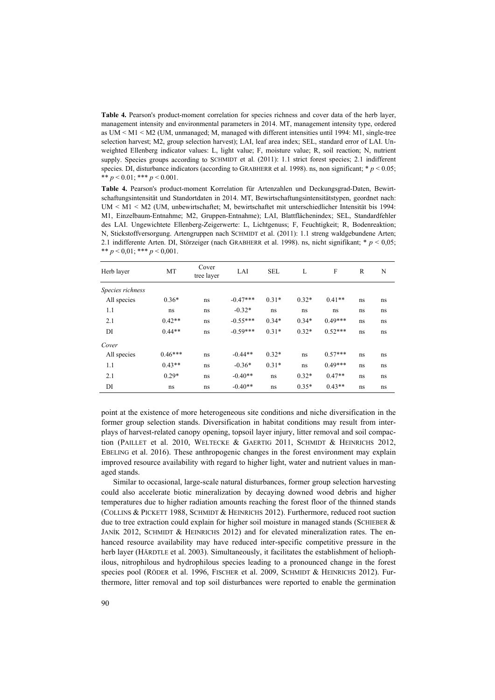**Table 4.** Pearson's product-moment correlation for species richness and cover data of the herb layer, management intensity and environmental parameters in 2014. MT, management intensity type, ordered as UM < M1 < M2 (UM, unmanaged; M, managed with different intensities until 1994: M1, single-tree selection harvest; M2, group selection harvest); LAI, leaf area index; SEL, standard error of LAI. Unweighted Ellenberg indicator values: L, light value; F, moisture value; R, soil reaction; N, nutrient supply. Species groups according to SCHMIDT et al. (2011): 1.1 strict forest species; 2.1 indifferent species. DI, disturbance indicators (according to GRABHERR et al. 1998). ns, non significant;  $* p < 0.05$ ; \*\*  $p < 0.01$ ; \*\*\*  $p < 0.001$ .

**Table 4.** Pearson's product-moment Korrelation für Artenzahlen und Deckungsgrad-Daten, Bewirtschaftungsintensität und Standortdaten in 2014. MT, Bewirtschaftungsintensitätstypen, geordnet nach: UM < M1 < M2 (UM, unbewirtschaftet; M, bewirtschaftet mit unterschiedlicher Intensität bis 1994: M1, Einzelbaum-Entnahme; M2, Gruppen-Entnahme); LAI, Blattflächenindex; SEL, Standardfehler des LAI. Ungewichtete Ellenberg-Zeigerwerte: L, Lichtgenuss; F, Feuchtigkeit; R, Bodenreaktion; N, Stickstoffversorgung. Artengruppen nach SCHMIDT et al. (2011): 1.1 streng waldgebundene Arten; 2.1 indifferente Arten. DI, Störzeiger (nach GRABHERR et al. 1998). ns, nicht signifikant; \* *p* < 0,05; \*\*  $p < 0.01$ ; \*\*\*  $p < 0.001$ .

| Herb layer       | MT        | Cover<br>tree layer | LAI        | <b>SEL</b> | L       | F         | $\mathbb{R}$ | N  |
|------------------|-----------|---------------------|------------|------------|---------|-----------|--------------|----|
| Species richness |           |                     |            |            |         |           |              |    |
| All species      | $0.36*$   | ns                  | $-0.47***$ | $0.31*$    | $0.32*$ | $0.41**$  | ns           | ns |
| 1.1              | ns        | ns                  | $-0.32*$   | ns         | ns      | ns        | ns           | ns |
| 2.1              | $0.42**$  | ns                  | $-0.55***$ | $0.34*$    | $0.34*$ | $0.49***$ | ns           | ns |
| DI               | $0.44**$  | ns                  | $-0.59***$ | $0.31*$    | $0.32*$ | $0.52***$ | ns           | ns |
| Cover            |           |                     |            |            |         |           |              |    |
| All species      | $0.46***$ | ns                  | $-0.44**$  | $0.32*$    | ns      | $0.57***$ | ns           | ns |
| 1.1              | $0.43**$  | ns                  | $-0.36*$   | $0.31*$    | ns      | $0.49***$ | ns           | ns |
| 2.1              | $0.29*$   | ns                  | $-0.40**$  | ns         | $0.32*$ | $0.47**$  | ns           | ns |
| DI               | ns        | ns                  | $-0.40**$  | ns         | $0.35*$ | $0.43**$  | ns           | ns |

point at the existence of more heterogeneous site conditions and niche diversification in the former group selection stands. Diversification in habitat conditions may result from interplays of harvest-related canopy opening, topsoil layer injury, litter removal and soil compaction (PAILLET et al. 2010, WELTECKE & GAERTIG 2011, SCHMIDT & HEINRICHS 2012, EBELING et al. 2016). These anthropogenic changes in the forest environment may explain improved resource availability with regard to higher light, water and nutrient values in managed stands.

Similar to occasional, large-scale natural disturbances, former group selection harvesting could also accelerate biotic mineralization by decaying downed wood debris and higher temperatures due to higher radiation amounts reaching the forest floor of the thinned stands (COLLINS & PICKETT 1988, SCHMIDT & HEINRICHS 2012). Furthermore, reduced root suction due to tree extraction could explain for higher soil moisture in managed stands (SCHIEBER & JANÍK 2012, SCHMIDT & HEINRICHS 2012) and for elevated mineralization rates. The enhanced resource availability may have reduced inter-specific competitive pressure in the herb layer (HÄRDTLE et al. 2003). Simultaneously, it facilitates the establishment of heliophilous, nitrophilous and hydrophilous species leading to a pronounced change in the forest species pool (RÖDER et al. 1996, FISCHER et al. 2009, SCHMIDT & HEINRICHS 2012). Furthermore, litter removal and top soil disturbances were reported to enable the germination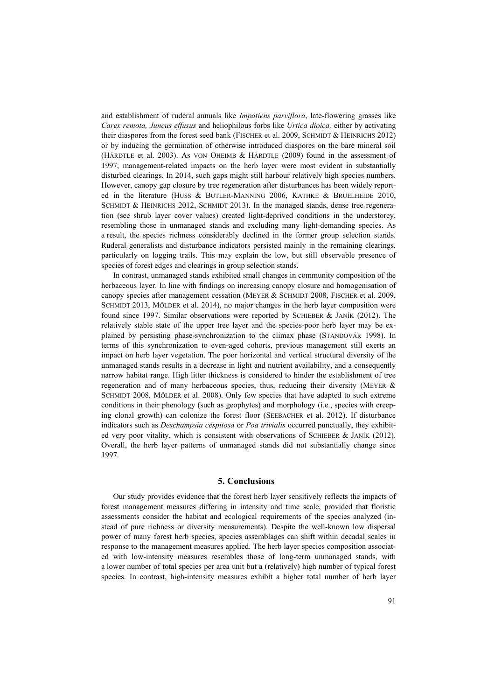and establishment of ruderal annuals like *Impatiens parviflora*, late-flowering grasses like *Carex remota, Juncus effusus* and heliophilous forbs like *Urtica dioica,* either by activating their diaspores from the forest seed bank (FISCHER et al. 2009, SCHMIDT & HEINRICHS 2012) or by inducing the germination of otherwise introduced diaspores on the bare mineral soil (HÄRDTLE et al. 2003). As VON OHEIMB & HÄRDTLE (2009) found in the assessment of 1997, management-related impacts on the herb layer were most evident in substantially disturbed clearings. In 2014, such gaps might still harbour relatively high species numbers. However, canopy gap closure by tree regeneration after disturbances has been widely reported in the literature (HUSS & BUTLER-MANNING 2006, KATHKE & BRUELHEIDE 2010, SCHMIDT & HEINRICHS 2012, SCHMIDT 2013). In the managed stands, dense tree regeneration (see shrub layer cover values) created light-deprived conditions in the understorey, resembling those in unmanaged stands and excluding many light-demanding species. As a result, the species richness considerably declined in the former group selection stands. Ruderal generalists and disturbance indicators persisted mainly in the remaining clearings, particularly on logging trails. This may explain the low, but still observable presence of species of forest edges and clearings in group selection stands.

In contrast, unmanaged stands exhibited small changes in community composition of the herbaceous layer. In line with findings on increasing canopy closure and homogenisation of canopy species after management cessation (MEYER & SCHMIDT 2008, FISCHER et al. 2009, SCHMIDT 2013, MÖLDER et al. 2014), no major changes in the herb layer composition were found since 1997. Similar observations were reported by SCHIEBER & JANÍK (2012). The relatively stable state of the upper tree layer and the species-poor herb layer may be explained by persisting phase-synchronization to the climax phase (STANDOVÁR 1998). In terms of this synchronization to even-aged cohorts, previous management still exerts an impact on herb layer vegetation. The poor horizontal and vertical structural diversity of the unmanaged stands results in a decrease in light and nutrient availability, and a consequently narrow habitat range. High litter thickness is considered to hinder the establishment of tree regeneration and of many herbaceous species, thus, reducing their diversity (MEYER & SCHMIDT 2008, MÖLDER et al. 2008). Only few species that have adapted to such extreme conditions in their phenology (such as geophytes) and morphology (i.e., species with creeping clonal growth) can colonize the forest floor (SEEBACHER et al. 2012). If disturbance indicators such as *Deschampsia cespitosa* or *Poa trivialis* occurred punctually, they exhibited very poor vitality, which is consistent with observations of SCHIEBER & JANÍK (2012). Overall, the herb layer patterns of unmanaged stands did not substantially change since 1997.

# **5. Conclusions**

Our study provides evidence that the forest herb layer sensitively reflects the impacts of forest management measures differing in intensity and time scale, provided that floristic assessments consider the habitat and ecological requirements of the species analyzed (instead of pure richness or diversity measurements). Despite the well-known low dispersal power of many forest herb species, species assemblages can shift within decadal scales in response to the management measures applied. The herb layer species composition associated with low-intensity measures resembles those of long-term unmanaged stands, with a lower number of total species per area unit but a (relatively) high number of typical forest species. In contrast, high-intensity measures exhibit a higher total number of herb layer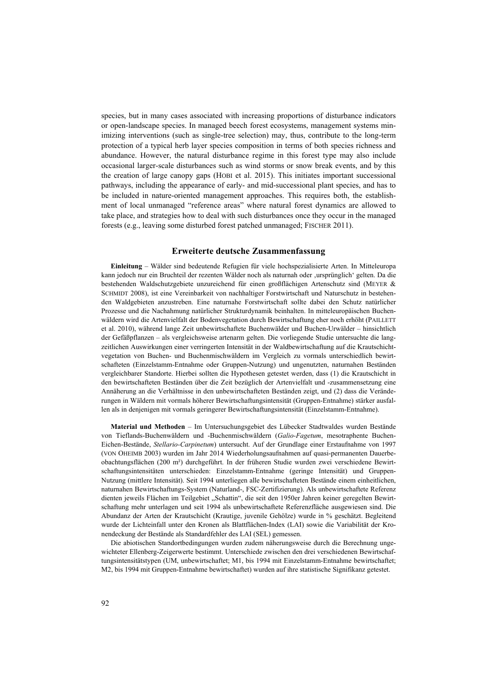species, but in many cases associated with increasing proportions of disturbance indicators or open-landscape species. In managed beech forest ecosystems, management systems minimizing interventions (such as single-tree selection) may, thus, contribute to the long-term protection of a typical herb layer species composition in terms of both species richness and abundance. However, the natural disturbance regime in this forest type may also include occasional larger-scale disturbances such as wind storms or snow break events, and by this the creation of large canopy gaps (HOBI et al. 2015). This initiates important successional pathways, including the appearance of early- and mid-successional plant species, and has to be included in nature-oriented management approaches. This requires both, the establishment of local unmanaged "reference areas" where natural forest dynamics are allowed to take place, and strategies how to deal with such disturbances once they occur in the managed forests (e.g., leaving some disturbed forest patched unmanaged; FISCHER 2011).

# **Erweiterte deutsche Zusammenfassung**

**Einleitung** – Wälder sind bedeutende Refugien für viele hochspezialisierte Arten. In Mitteleuropa kann jedoch nur ein Bruchteil der rezenten Wälder noch als naturnah oder ,ursprünglich' gelten. Da die bestehenden Waldschutzgebiete unzureichend für einen großflächigen Artenschutz sind (MEYER & SCHMIDT 2008), ist eine Vereinbarkeit von nachhaltiger Forstwirtschaft und Naturschutz in bestehenden Waldgebieten anzustreben. Eine naturnahe Forstwirtschaft sollte dabei den Schutz natürlicher Prozesse und die Nachahmung natürlicher Strukturdynamik beinhalten. In mitteleuropäischen Buchenwäldern wird die Artenvielfalt der Bodenvegetation durch Bewirtschaftung eher noch erhöht (PAILLETT et al. 2010), während lange Zeit unbewirtschaftete Buchenwälder und Buchen-Urwälder – hinsichtlich der Gefäßpflanzen – als vergleichsweise artenarm gelten. Die vorliegende Studie untersuchte die langzeitlichen Auswirkungen einer verringerten Intensität in der Waldbewirtschaftung auf die Krautschichtvegetation von Buchen- und Buchenmischwäldern im Vergleich zu vormals unterschiedlich bewirtschafteten (Einzelstamm-Entnahme oder Gruppen-Nutzung) und ungenutzten, naturnahen Beständen vergleichbarer Standorte. Hierbei sollten die Hypothesen getestet werden, dass (1) die Krautschicht in den bewirtschafteten Beständen über die Zeit bezüglich der Artenvielfalt und -zusammensetzung eine Annäherung an die Verhältnisse in den unbewirtschafteten Beständen zeigt, und (2) dass die Veränderungen in Wäldern mit vormals höherer Bewirtschaftungsintensität (Gruppen-Entnahme) stärker ausfallen als in denjenigen mit vormals geringerer Bewirtschaftungsintensität (Einzelstamm-Entnahme).

**Material und Methoden** – Im Untersuchungsgebiet des Lübecker Stadtwaldes wurden Bestände von Tieflands-Buchenwäldern und -Buchenmischwäldern (*Galio-Fagetum*, mesotraphente Buchen-Eichen-Bestände, *Stellario-Carpinetum*) untersucht. Auf der Grundlage einer Erstaufnahme von 1997 (VON OHEIMB 2003) wurden im Jahr 2014 Wiederholungsaufnahmen auf quasi-permanenten Dauerbeobachtungsflächen (200 m²) durchgeführt. In der früheren Studie wurden zwei verschiedene Bewirtschaftungsintensitäten unterschieden: Einzelstamm-Entnahme (geringe Intensität) und Gruppen-Nutzung (mittlere Intensität). Seit 1994 unterliegen alle bewirtschafteten Bestände einem einheitlichen, naturnahen Bewirtschaftungs-System (Naturland-, FSC-Zertifizierung). Als unbewirtschaftete Referenz dienten jeweils Flächen im Teilgebiet "Schattin", die seit den 1950er Jahren keiner geregelten Bewirtschaftung mehr unterlagen und seit 1994 als unbewirtschaftete Referenzfläche ausgewiesen sind. Die Abundanz der Arten der Krautschicht (Krautige, juvenile Gehölze) wurde in % geschätzt. Begleitend wurde der Lichteinfall unter den Kronen als Blattflächen-Index (LAI) sowie die Variabilität der Kronendeckung der Bestände als Standardfehler des LAI (SEL) gemessen.

Die abiotischen Standortbedingungen wurden zudem näherungsweise durch die Berechnung ungewichteter Ellenberg-Zeigerwerte bestimmt. Unterschiede zwischen den drei verschiedenen Bewirtschaftungsintensitätstypen (UM, unbewirtschaftet; M1, bis 1994 mit Einzelstamm-Entnahme bewirtschaftet; M2, bis 1994 mit Gruppen-Entnahme bewirtschaftet) wurden auf ihre statistische Signifikanz getestet.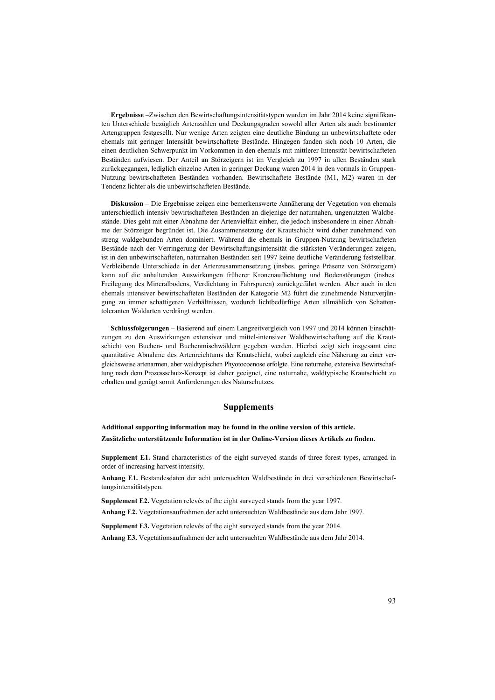**Ergebnisse** –Zwischen den Bewirtschaftungsintensitätstypen wurden im Jahr 2014 keine signifikanten Unterschiede bezüglich Artenzahlen und Deckungsgraden sowohl aller Arten als auch bestimmter Artengruppen festgesellt. Nur wenige Arten zeigten eine deutliche Bindung an unbewirtschaftete oder ehemals mit geringer Intensität bewirtschaftete Bestände. Hingegen fanden sich noch 10 Arten, die einen deutlichen Schwerpunkt im Vorkommen in den ehemals mit mittlerer Intensität bewirtschafteten Beständen aufwiesen. Der Anteil an Störzeigern ist im Vergleich zu 1997 in allen Beständen stark zurückgegangen, lediglich einzelne Arten in geringer Deckung waren 2014 in den vormals in Gruppen-Nutzung bewirtschafteten Beständen vorhanden. Bewirtschaftete Bestände (M1, M2) waren in der Tendenz lichter als die unbewirtschafteten Bestände.

**Diskussion** – Die Ergebnisse zeigen eine bemerkenswerte Annäherung der Vegetation von ehemals unterschiedlich intensiv bewirtschafteten Beständen an diejenige der naturnahen, ungenutzten Waldbestände. Dies geht mit einer Abnahme der Artenvielfalt einher, die jedoch insbesondere in einer Abnahme der Störzeiger begründet ist. Die Zusammensetzung der Krautschicht wird daher zunehmend von streng waldgebunden Arten dominiert. Während die ehemals in Gruppen-Nutzung bewirtschafteten Bestände nach der Verringerung der Bewirtschaftungsintensität die stärksten Veränderungen zeigen, ist in den unbewirtschafteten, naturnahen Beständen seit 1997 keine deutliche Veränderung feststellbar. Verbleibende Unterschiede in der Artenzusammensetzung (insbes. geringe Präsenz von Störzeigern) kann auf die anhaltenden Auswirkungen früherer Kronenauflichtung und Bodenstörungen (insbes. Freilegung des Mineralbodens, Verdichtung in Fahrspuren) zurückgeführt werden. Aber auch in den ehemals intensiver bewirtschafteten Beständen der Kategorie M2 führt die zunehmende Naturverjüngung zu immer schattigeren Verhältnissen, wodurch lichtbedürftige Arten allmählich von Schattentoleranten Waldarten verdrängt werden.

**Schlussfolgerungen** – Basierend auf einem Langzeitvergleich von 1997 und 2014 können Einschätzungen zu den Auswirkungen extensiver und mittel-intensiver Waldbewirtschaftung auf die Krautschicht von Buchen- und Buchenmischwäldern gegeben werden. Hierbei zeigt sich insgesamt eine quantitative Abnahme des Artenreichtums der Krautschicht, wobei zugleich eine Näherung zu einer vergleichsweise artenarmen, aber waldtypischen Phyotocoenose erfolgte. Eine naturnahe, extensive Bewirtschaftung nach dem Prozessschutz-Konzept ist daher geeignet, eine naturnahe, waldtypische Krautschicht zu erhalten und genügt somit Anforderungen des Naturschutzes.

## **Supplements**

**Additional supporting information may be found in the online version of this article. Zusätzliche unterstützende Information ist in der Online-Version dieses Artikels zu finden.**

**Supplement E1.** Stand characteristics of the eight surveyed stands of three forest types, arranged in order of increasing harvest intensity.

**Anhang E1.** Bestandesdaten der acht untersuchten Waldbestände in drei verschiedenen Bewirtschaftungsintensitätstypen.

**Supplement E2.** Vegetation relevés of the eight surveyed stands from the year 1997.

**Anhang E2.** Vegetationsaufnahmen der acht untersuchten Waldbestände aus dem Jahr 1997.

**Supplement E3.** Vegetation relevés of the eight surveyed stands from the year 2014.

**Anhang E3.** Vegetationsaufnahmen der acht untersuchten Waldbestände aus dem Jahr 2014.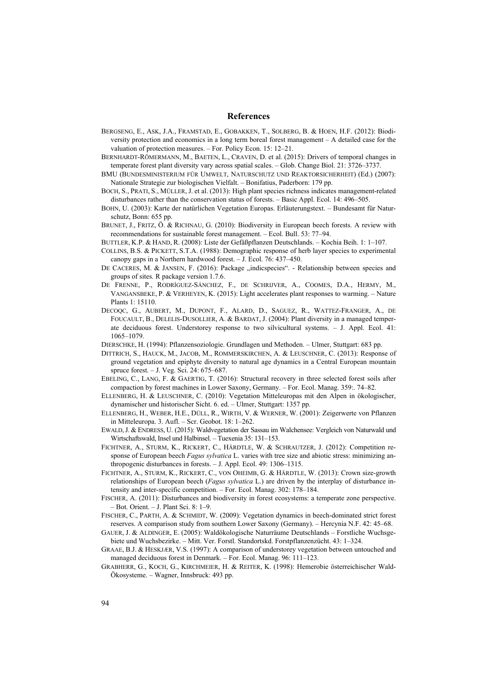#### **References**

- BERGSENG, E., ASK, J.A., FRAMSTAD, E., GOBAKKEN, T., SOLBERG, B. & HOEN, H.F. (2012): Biodiversity protection and economics in a long term boreal forest management – A detailed case for the valuation of protection measures. – For. Policy Econ. 15: 12–21.
- BERNHARDT-RÖMERMANN, M., BAETEN, L., CRAVEN, D. et al. (2015): Drivers of temporal changes in temperate forest plant diversity vary across spatial scales. – Glob. Change Biol. 21: 3726–3737.
- BMU (BUNDESMINISTERIUM FÜR UMWELT, NATURSCHUTZ UND REAKTORSICHERHEIT) (Ed.) (2007): Nationale Strategie zur biologischen Vielfalt. – Bonifatius, Paderborn: 179 pp.
- BOCH, S., PRATI, S., MÜLLER, J. et al. (2013): High plant species richness indicates management-related disturbances rather than the conservation status of forests. – Basic Appl. Ecol. 14: 496–505.
- BOHN, U. (2003): Karte der natürlichen Vegetation Europas. Erläuterungstext. Bundesamt für Naturschutz, Bonn: 655 pp.
- BRUNET, J., FRITZ, Ö. & RICHNAU, G. (2010): Biodiversity in European beech forests. A review with recommendations for sustainable forest management. – Ecol. Bull. 53: 77–94.
- BUTTLER, K.P. & HAND, R. (2008): Liste der Gefäßpflanzen Deutschlands. Kochia Beih. 1: 1–107.
- COLLINS, B.S. & PICKETT, S.T.A. (1988): Demographic response of herb layer species to experimental canopy gaps in a Northern hardwood forest. – J. Ecol. 76: 437–450.
- DE CACERES, M. & JANSEN, F. (2016): Package "indicspecies". Relationship between species and groups of sites. R package version 1.7.6.
- DE FRENNE, P., RODRÍGUEZ-SÁNCHEZ, F., DE SCHRIJVER, A., COOMES, D.A., HERMY, M., VANGANSBEKE, P. & VERHEYEN, K. (2015): Light accelerates plant responses to warming. – Nature Plants 1: 15110.
- DECOQC, G., AUBERT, M., DUPONT, F., ALARD, D., SAGUEZ, R., WATTEZ-FRANGER, A., DE FOUCAULT, B., DELELIS-DUSOLLIER, A. & BARDAT, J. (2004): Plant diversity in a managed temperate deciduous forest. Understorey response to two silvicultural systems. – J. Appl. Ecol. 41: 1065–1079.
- DIERSCHKE, H. (1994): Pflanzensoziologie. Grundlagen und Methoden. Ulmer, Stuttgart: 683 pp.
- DITTRICH, S., HAUCK, M., JACOB, M., ROMMERSKIRCHEN, A. & LEUSCHNER, C. (2013): Response of ground vegetation and epiphyte diversity to natural age dynamics in a Central European mountain spruce forest. – J. Veg. Sci. 24: 675–687.
- EBELING, C., LANG, F. & GAERTIG, T. (2016): Structural recovery in three selected forest soils after compaction by forest machines in Lower Saxony, Germany. – For. Ecol. Manag. 359:. 74–82.
- ELLENBERG, H. & LEUSCHNER, C. (2010): Vegetation Mitteleuropas mit den Alpen in ökologischer, dynamischer und historischer Sicht. 6. ed. – Ulmer, Stuttgart: 1357 pp.
- ELLENBERG, H., WEBER, H.E., DÜLL, R., WIRTH, V. & WERNER, W. (2001): Zeigerwerte von Pflanzen in Mitteleuropa. 3. Aufl. – Scr. Geobot. 18: 1–262.
- EWALD,J. & ENDRESS, U. (2015): Waldvegetation der Sassau im Walchensee: Vergleich von Naturwald und Wirtschaftswald, Insel und Halbinsel. – Tuexenia 35: 131–153.
- FICHTNER, A., STURM, K., RICKERT, C., HÄRDTLE, W. & SCHRAUTZER, J. (2012): Competition response of European beech *Fagus sylvatica* L. varies with tree size and abiotic stress: minimizing anthropogenic disturbances in forests. – J. Appl. Ecol. 49: 1306–1315.
- FICHTNER, A., STURM, K., RICKERT, C., VON OHEIMB, G. & HÄRDTLE, W. (2013): Crown size-growth relationships of European beech (*Fagus sylvatica* L.) are driven by the interplay of disturbance intensity and inter-specific competition. – For. Ecol. Manag. 302: 178–184.
- FISCHER, A. (2011): Disturbances and biodiversity in forest ecosystems: a temperate zone perspective. – Bot. Orient. – J. Plant Sci. 8: 1–9.
- FISCHER, C., PARTH, A. & SCHMIDT, W. (2009): Vegetation dynamics in beech-dominated strict forest reserves. A comparison study from southern Lower Saxony (Germany). – Hercynia N.F. 42: 45–68.
- GAUER, J. & ALDINGER, E. (2005): Waldökologische Naturräume Deutschlands Forstliche Wuchsgebiete und Wuchsbezirke. – Mitt. Ver. Forstl. Standortskd. Forstpflanzenzücht. 43: 1–324.
- GRAAE, B.J. & HESKJÆR, V.S. (1997): A comparison of understorey vegetation between untouched and managed deciduous forest in Denmark. – For. Ecol. Manag. 96: 111–123.
- GRABHERR, G., KOCH, G., KIRCHMEIER, H. & REITER, K. (1998): Hemerobie österreichischer Wald-Ökosysteme. – Wagner, Innsbruck: 493 pp.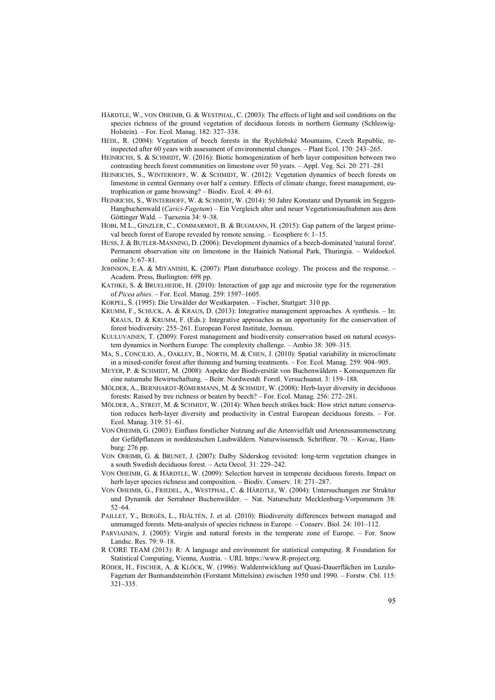- HÄRDTLE, W., VON OHEIMB, G. & WESTPHAL, C. (2003): The effects of light and soil conditions on the species richness of the ground vegetation of deciduous forests in northern Germany (Schleswig-Holstein). – For. Ecol. Manag. 182: 327–338.
- HÉDL, R. (2004): Vegetation of beech forests in the Rychlebské Mountains, Czech Republic, reinspected after 60 years with assessment of environmental changes. – Plant Ecol. 170: 243–265.
- HEINRICHS, S. & SCHMIDT, W. (2016): Biotic homogenization of herb layer composition between two contrasting beech forest communities on limestone over 50 years. – Appl. Veg. Sci. 20: 271–281
- HEINRICHS, S., WINTERHOFF, W. & SCHMIDT, W. (2012): Vegetation dynamics of beech forests on limestone in central Germany over half a century. Effects of climate change, forest management, eutrophication or game browsing? – Biodiv. Ecol. 4: 49–61.
- HEINRICHS, S., WINTERHOFF, W. & SCHMIDT, W. (2014): 50 Jahre Konstanz und Dynamik im Seggen-Hangbuchenwald (*Carici-Fagetum*) – Ein Vergleich alter und neuer Vegetationsaufnahmen aus dem Göttinger Wald. – Tuexenia 34: 9–38.
- HOBI, M.L., GINZLER, C., COMMARMOT, B. & BUGMANN, H. (2015): Gap pattern of the largest primeval beech forest of Europe revealed by remote sensing. – Ecosphere 6: 1–15.
- HUSS, J. & BUTLER-MANNING, D. (2006): Development dynamics of a beech-dominated 'natural forest'. Permanent observation site on limestone in the Hainich National Park, Thuringia. – Waldoekol. online 3: 67–81.
- JOHNSON, E.A. & MIYANISHI, K. (2007): Plant disturbance ecology. The process and the response. Academ. Press, Burlington: 698 pp.
- KATHKE, S. & BRUELHEIDE, H. (2010): Interaction of gap age and microsite type for the regeneration of *Picea abies*. – For. Ecol. Manag. 259: 1597–1605.
- KORPEL, Š. (1995): Die Urwälder der Westkarpaten. Fischer, Stuttgart: 310 pp.
- KRUMM, F., SCHUCK, A. & KRAUS, D. (2013): Integrative management approaches. A synthesis. In: KRAUS, D. & KRUMM, F. (Eds.): Integrative approaches as an opportunity for the conservation of forest biodiversity: 255–261. European Forest Institute, Joensuu.
- KUULUVAINEN, T. (2009): Forest management and biodiversity conservation based on natural ecosystem dynamics in Northern Europe: The complexity challenge. – Ambio 38: 309–315.
- MA, S., CONCILIO, A., OAKLEY, B., NORTH, M. & CHEN, J. (2010): Spatial variability in microclimate in a mixed-conifer forest after thinning and burning treatments. – For. Ecol. Manag. 259: 904–905.
- MEYER, P. & SCHMIDT, M. (2008): Aspekte der Biodiversität von Buchenwäldern Konsequenzen für eine naturnahe Bewirtschaftung. – Beitr. Nordwestdt. Forstl. Versuchsanst. 3: 159–188.
- MÖLDER, A., BERNHARDT-RÖMERMANN, M. & SCHMIDT, W. (2008): Herb-layer diversity in deciduous forests: Raised by tree richness or beaten by beech? – For. Ecol. Manag. 256: 272–281.
- MÖLDER, A., STREIT, M. & SCHMIDT, W. (2014): When beech strikes back: How strict nature conservation reduces herb-layer diversity and productivity in Central European deciduous forests. – For. Ecol. Manag. 319: 51–61.
- VON OHEIMB, G. (2003): Einfluss forstlicher Nutzung auf die Artenvielfalt und Artenzusammensetzung der Gefäßpflanzen in norddeutschen Laubwäldern. Naturwissensch. Schriftenr. 70. – Kovac, Hamburg: 276 pp.
- VON OHEIMB, G. & BRUNET, J. (2007): Dalby Söderskog revisited: long-term vegetation changes in a south Swedish deciduous forest. – Acta Oecol. 31: 229–242.
- VON OHEIMB, G. & HÄRDTLE, W. (2009): Selection harvest in temperate deciduous forests. Impact on herb layer species richness and composition. – Biodiv. Conserv. 18: 271–287.
- VON OHEIMB, G., FRIEDEL, A., WESTPHAL, C. & HÄRDTLE, W. (2004): Untersuchungen zur Struktur und Dynamik der Serrahner Buchenwälder. – Nat. Naturschutz Mecklenburg-Vorpommern 38: 52–64.
- PAILLET, Y., BERGÈS, L., HJÄLTÉN, J. et al. (2010): Biodiversity differences between managed and unmanaged forests. Meta-analysis of species richness in Europe. – Conserv. Biol. 24: 101–112.
- PARVIAINEN, J. (2005): Virgin and natural forests in the temperate zone of Europe. For. Snow Landsc. Res. 79: 9–18.
- R CORE TEAM (2013): R: A language and environment for statistical computing. R Foundation for Statistical Computing, Vienna, Austria. – URL https://www.R-project.org.
- RÖDER, H., FISCHER, A. & KLÖCK, W. (1996): Waldentwicklung auf Quasi-Dauerflächen im Luzulo-Fagetum der Buntsandsteinrhön (Forstamt Mittelsinn) zwischen 1950 und 1990. – Forstw. Cbl. 115: 321–335.